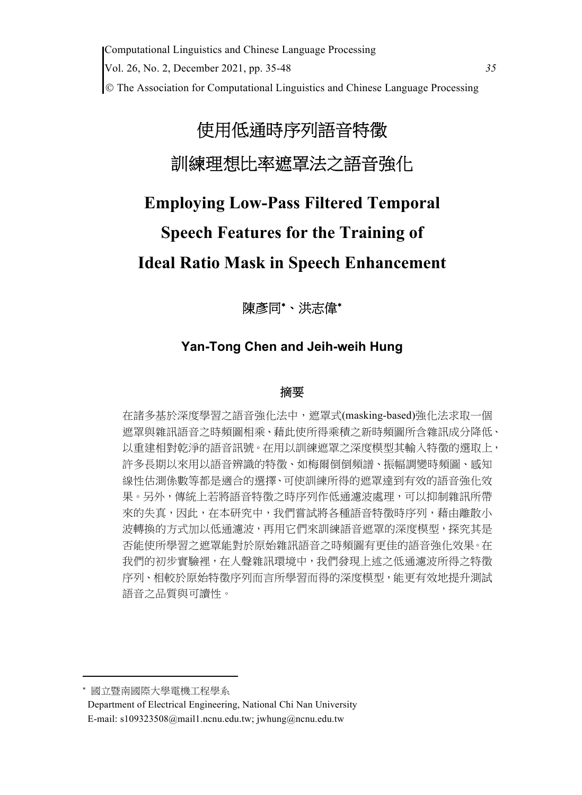Computational Linguistics and Chinese Language Processing Vol. 26, No. 2, December 2021, pp. 35-48 *35* The Association for Computational Linguistics and Chinese Language Processing

# 使用低通時序列語音特徵 訓練理想比率遮罩法之語音強化

# **Employing Low-Pass Filtered Temporal Speech Features for the Training of Ideal Ratio Mask in Speech Enhancement**

陳彥同\*、洪志偉\*

# **Yan-Tong Chen and Jeih-weih Hung**

## 摘要

在諸多基於深度學習之語音強化法中,遮罩式(masking-based)強化法求取一個 遮罩與雜訊語音之時頻圖相乘、藉此使所得乘積之新時頻圖所含雜訊成分降低、 以重建相對乾淨的語音訊號。在用以訓練遮罩之深度模型其輸入特徵的選取上, 許多長期以來用以語音辨識的特徵、如梅爾倒倒頻譜、振幅調變時頻圖、感知 線性估測係數等都是適合的選擇、可使訓練所得的遮罩達到有效的語音強化效 果。另外,傳統上若將語音特徵之時序列作低通濾波處理,可以抑制雜訊所帶 來的失真,因此,在本研究中,我們嘗試將各種語音特徵時序列,藉由離散小 波轉換的方式加以低通濾波,再用它們來訓練語音遮罩的深度模型,探究其是 否能使所學習之遮罩能對於原始雜訊語音之時頻圖有更佳的語音強化效果。在 我們的初步實驗裡,在人聲雜訊環境中,我們發現上述之低涌濾波所得之特徵 序列、相較於原始特徵序列而言所學習而得的深度模型,能更有效地提升測試 語音之品質與可讀性。

國立暨南國際大學電機工程學系

 Department of Electrical Engineering, National Chi Nan University E-mail: s109323508@mail1.ncnu.edu.tw; jwhung@ncnu.edu.tw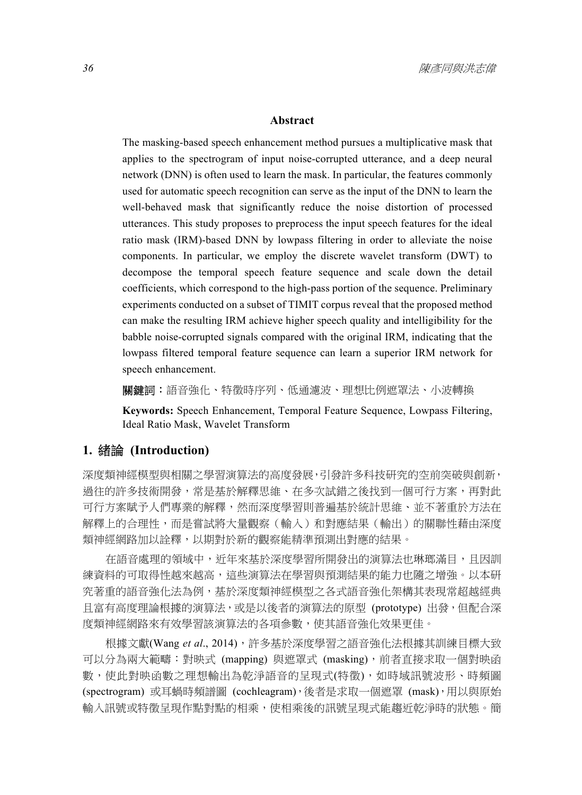#### **Abstract**

The masking-based speech enhancement method pursues a multiplicative mask that applies to the spectrogram of input noise-corrupted utterance, and a deep neural network (DNN) is often used to learn the mask. In particular, the features commonly used for automatic speech recognition can serve as the input of the DNN to learn the well-behaved mask that significantly reduce the noise distortion of processed utterances. This study proposes to preprocess the input speech features for the ideal ratio mask (IRM)-based DNN by lowpass filtering in order to alleviate the noise components. In particular, we employ the discrete wavelet transform (DWT) to decompose the temporal speech feature sequence and scale down the detail coefficients, which correspond to the high-pass portion of the sequence. Preliminary experiments conducted on a subset of TIMIT corpus reveal that the proposed method can make the resulting IRM achieve higher speech quality and intelligibility for the babble noise-corrupted signals compared with the original IRM, indicating that the lowpass filtered temporal feature sequence can learn a superior IRM network for speech enhancement.

**關鍵詞:**語音強化、特徵時序列、低通濾波、理想比例遮罩法、小波轉換

**Keywords:** Speech Enhancement, Temporal Feature Sequence, Lowpass Filtering, Ideal Ratio Mask, Wavelet Transform

#### **1.** 緒論 **(Introduction)**

深度類神經模型與相關之學習演算法的高度發展,引發許多科技研究的空前突破與創新, 過往的許多技術開發,常是基於解釋思維、在多次試錯之後找到一個可行方案,再對此 可行方案賦予人們專業的解釋,然而深度學習則普遍基於統計思維、並不著重於方法在 解釋上的合理性,而是嘗試將大量觀察(輸入)和對應結果(輸出)的關聯性藉由深度 類神經網路加以詮釋,以期對於新的觀察能精準預測出對應的結果。

在語音處理的領域中,近年來基於深度學習所開發出的演算法也琳瑯滿目,且因訓 練資料的可取得性越來越高,這些演算法在學習與預測結果的能力也隨之增強。以本研 究著重的語音強化法為例,基於深度類神經模型之各式語音強化架構其表現常超越經典 且富有高度理論根據的演算法,或是以後者的演算法的原型 (prototype) 出發,但配合深 度類神經網路來有效學習該演算法的各項參數,使其語音強化效果更佳。

根據文獻(Wang *et al*., 2014),許多基於深度學習之語音強化法根據其訓練目標大致 可以分為兩大範疇:對映式 (mapping) 與遮罩式 (masking),前者直接求取一個對映函 數,使此對映函數之理想輸出為乾淨語音的呈現式(特徵),如時域訊號波形、時頻圖 (spectrogram) 或耳蝸時頻譜圖 (cochleagram),後者是求取一個遮罩 (mask),用以與原始 輸入訊號或特徵呈現作點對點的相乘,使相乘後的訊號呈現式能趨近乾淨時的狀態。簡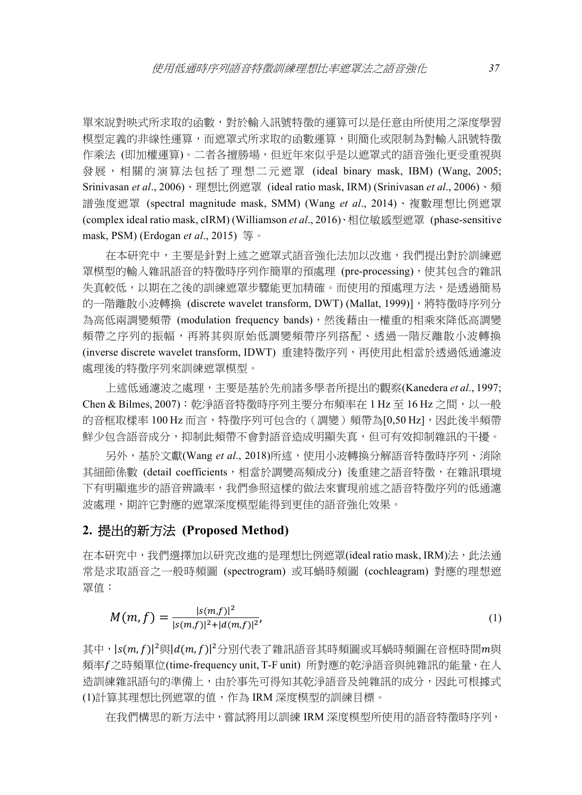單來說對映式所求取的函數,對於輸入訊號特徵的運算可以是任意由所使用之深度學習 模型定義的非線性運算,而遮罩式所求取的函數運算,則簡化或限制為對輸入訊號特徵 作乘法 (即加權運算)。二者各擅勝場,但近年來似乎是以遮罩式的語音強化更受重視與 發展,相關的演算法包括了理想二元遮罩 (ideal binary mask, IBM) (Wang, 2005; Srinivasan *et al*., 2006)、理想比例遮罩 (ideal ratio mask, IRM) (Srinivasan *et al*., 2006)、頻 譜強度遮罩 (spectral magnitude mask, SMM) (Wang *et al*., 2014)、複數理想比例遮罩 (complex ideal ratio mask, cIRM) (Williamson *et al*., 2016)、相位敏感型遮罩 (phase-sensitive mask, PSM) (Erdogan *et al*., 2015) 等。

在本研究中,主要是針對上述之遮罩式語音強化法加以改進,我們提出對於訓練遮 罩模型的輸入雜訊語音的特徵時序列作簡單的預處理 (pre-processing),使其包含的雜訊 失真較低,以期在之後的訓練遮罩步驟能更加精確。而使用的預處理方法,是透過簡易 的一階離散小波轉換 (discrete wavelet transform, DWT) (Mallat, 1999)], 將特徵時序列分 為高低兩調變頻帶 (modulation frequency bands),然後藉由一權重的相乘來降低高調變 頻帶之序列的振幅,再將其與原始低調變頻帶序列搭配、透過一階反離散小波轉換 (inverse discrete wavelet transform, IDWT) 重建特徵序列,再使用此相當於透過低通濾波 處理後的特徵序列來訓練遮罩模型。

上述低通濾波之處理,主要是基於先前諸多學者所提出的觀察(Kanedera *et al*., 1997; Chen & Bilmes, 2007): 乾淨語音特徵時序列主要分布頻率在 1 Hz 至 16 Hz 之間,以一般 的音框取樣率 100 Hz 而言,特徵序列可包含的(調變)頻帶為[0,50 Hz],因此後半頻帶 鮮少包含語音成分,抑制此頻帶不會對語音造成明顯失真,但可有效抑制雜訊的干擾。

另外,基於文獻(Wang et al., 2018)所述,使用小波轉換分解語音特徵時序列、消除 其細節係數 (detail coefficients,相當於調變高頻成分) 後重建之語音特徵,在雜訊環境 下有明顯進步的語音辨識率,我們參照這樣的做法來實現前述之語音特徵序列的低通濾 波處理,期許它對應的遮罩深度模型能得到更佳的語音強化效果。

#### **2.** 提出的新方法 **(Proposed Method)**

在本研究中,我們選擇加以研究改進的是理想比例遮罩(ideal ratio mask, IRM)法,此法通 常是求取語音之一般時頻圖 (spectrogram) 或耳蝸時頻圖 (cochleagram) 對應的理想遮 罩值:

$$
M(m, f) = \frac{|s(m, f)|^2}{|s(m, f)|^2 + |d(m, f)|^2},
$$
\n(1)

其中, $|s(m,f)|^2$ 與 $|d(m,f)|^2$ 分別代表了雜訊語音其時頻圖或耳蝸時頻圖在音框時間 $m$ 與 頻率之時頻單位(time-frequency unit, T-F unit) 所對應的乾淨語音與純雜訊的能量,在人 造訓練雜訊語句的準備上,由於事先可得知其乾淨語音及純雜訊的成分,因此可根據式 (1)計算其理想比例遮罩的值,作為 IRM 深度模型的訓練目標。

在我們構思的新方法中,嘗試將用以訓練 IRM 深度模型所使用的語音特徵時序列,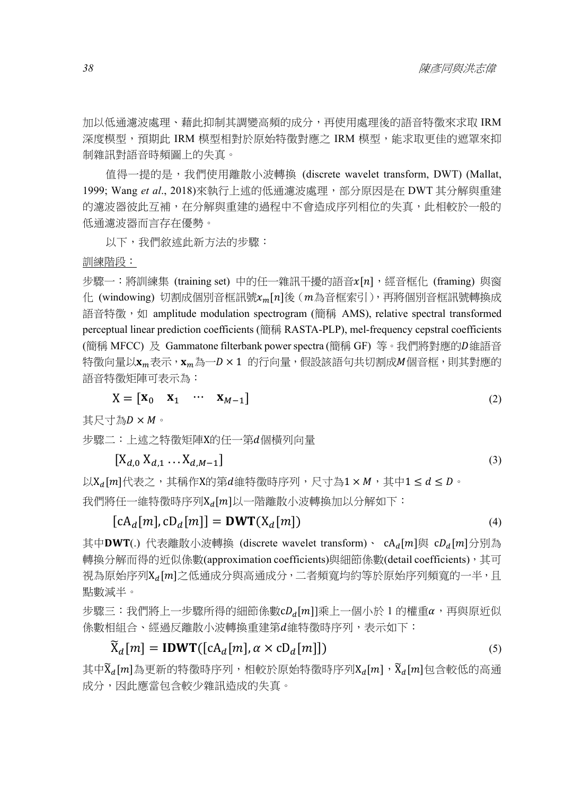加以低通濾波處理、藉此抑制其調變高頻的成分,再使用處理後的語音特徵來求取 IRM 深度模型,預期此 IRM 模型相對於原始特徵對應之 IRM 模型,能求取更佳的遮罩來抑 制雜訊對語音時頻圖上的失真。

值得一提的是,我們使用離散小波轉換 (discrete wavelet transform, DWT) (Mallat, 1999; Wang *et al*., 2018)來執行上述的低通濾波處理,部分原因是在 DWT 其分解與重建 的濾波器彼此互補,在分解與重建的過程中不會造成序列相位的失真,此相較於一般的 低通濾波器而言存在優勢。

以下,我們敘述此新方法的步驟:

#### 訓練階段:

步驟一:將訓練集 (training set) 中的任一雜訊干擾的語音 $x[n]$ , 經音框化 (framing) 與窗 化 (windowing) 切割成個別音框訊號 $x_m[n]$ 後 (m為音框索引), 再將個別音框訊號轉換成 語音特徵, 如 amplitude modulation spectrogram (簡稱 AMS), relative spectral transformed perceptual linear prediction coefficients (簡稱 RASTA-PLP), mel-frequency cepstral coefficients (簡稱 MFCC) 及 Gammatone filterbank power spectra (簡稱 GF) 等。我們將對應的D維語音 特徵向量以xm表示,xm為一D×1的行向量,假設該語句共切割成M個音框,則其對應的 語音特徵矩陣可表示為:

$$
X = \begin{bmatrix} X_0 & X_1 & \cdots & X_{M-1} \end{bmatrix} \tag{2}
$$

其尺寸為D×M。

步驟二:上述之特徵矩陣X的任一第個橫列向量

$$
[X_{d,0} X_{d,1} \dots X_{d,M-1}]
$$
 (3)

 $\cup$ X<sub>d</sub>[m]代表之,其稱作X的第d維特徵時序列,尺寸為1 × M,其中1 ≤ d ≤ D。 我們將任一維特徵時序列 $X_d[m]$ 以一階離散小波轉換加以分解如下:

$$
[cAd[m], cDd[m]] = DWT(Xd[m])
$$
\n(4)

其中DWT(.) 代表離散小波轉換 (discrete wavelet transform)、 cA<sub>d</sub>[m]與 cD<sub>d</sub>[m]分別為 轉換分解而得的近似係數(approximation coefficients)與細節係數(detail coefficients),其可 視為原始序列X』[m]之低通成分與高通成分,二者頻寬均約等於原始序列頻寬的一半,且 點數減半。

 $\n$ 步驟三: 我們將上一步驟所得的細節係數 $cD_a[m]$ 乘上一個小於 1 的權重 $\alpha$ ,再與原折似 係數相組合、經過反離散小波轉換重建第維特徵時序列,表示如下:

$$
\widetilde{\mathbf{X}}_d[m] = \mathbf{IDWT}([\mathbf{c}\mathbf{A}_d[m], \alpha \times \mathbf{c}\mathbf{D}_d[m]]) \tag{5}
$$

其中 $\widetilde{X}_d[m]$ 為更新的特徵時序列,相較於原始特徵時序列 $X_d[m]$ , $\widetilde{X}_d[m]$ 包含較低的高通 成分,因此應當包含較少雜訊造成的失真。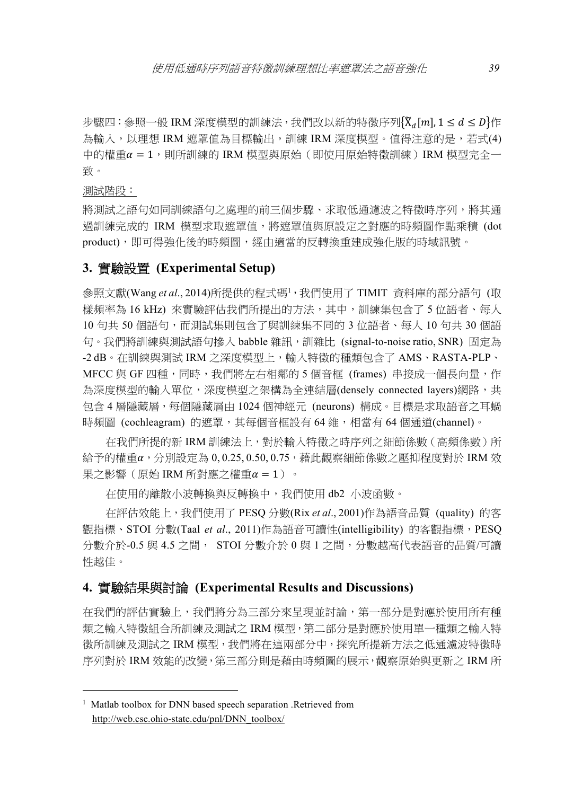步驟四: 參照一般 IRM 深度模型的訓練法, 我們改以新的特徵序列 $\{ \widetilde{X}_d[m], 1 \leq d \leq D \}$ 作 為輸入,以理想 IRM 遮罩值為目標輸出,訓練 IRM 深度模型。值得注意的是,若式(4) 中的權重 ൌ 1,則所訓練的 IRM 模型與原始(即使用原始特徵訓練)IRM 模型完全一 致。

測試階段:

將測試之語句如同訓練語句之處理的前三個步驟、求取低通濾波之特徵時序列,將其通 過訓練完成的 IRM 模型求取遮罩值,將遮罩值與原設定之對應的時頻圖作點乘積 (dot product),即可得強化後的時頻圖,經由適當的反轉換重建成強化版的時域訊號。

#### **3.** 實驗設置 **(Experimental Setup)**

參照文獻(Wang *et al*., 2014)所提供的程式碼<sup>1,</sup>我們使用了 TIMIT 資料庫的部分語句 (取 樣頻率為 16 kHz) 來實驗評估我們所提出的方法,其中,訓練集包含了 5 位語者、每人 10 句共 50 個語句,而測試集則包含了與訓練集不同的 3 位語者、每人 10 句共 30 個語 句。我們將訓練與測試語句摻入 babble 雜訊, 訓雜比 (signal-to-noise ratio, SNR) 固定為 -2 dB。在訓練與測試 IRM 之深度模型上,輸入特徵的種類包含了 AMS、RASTA-PLP、 MFCC 與 GF 四種,同時,我們將左右相鄰的 5 個音框 (frames) 串接成一個長向量,作 為深度模型的輸入單位,深度模型之架構為全連結層(densely connected layers)網路,共 包含 4 層隱藏層,每個隱藏層由 1024 個神經元 (neurons) 構成。目標是求取語音之耳蝸 時頻圖 (cochleagram) 的遮罩,其每個音框設有 64 維, 相當有 64 個通道(channel)。

在我們所提的新 IRM 訓練法上,對於輸入特徵之時序列之細節係數(高頻係數)所 給予的權重α,分別設定為 0,0.25,0.50,0.75,藉此觀察細節係數之壓抑程度對於 IRM 效 果之影響 (原始 IRM 所對應之權重α = 1)。

在使用的離散小波轉換與反轉換中,我們使用 db2 小波函數。

在評估效能上,我們使用了 PESQ 分數(Rix *et al*., 2001)作為語音品質 (quality) 的客 觀指標、STOI 分數(Taal *et al.*, 2011)作為語音可讀性(intelligibility) 的客觀指標, PESQ 分數介於-0.5 與 4.5 之間, STOI 分數介於 0 與 1 之間,分數越高代表語音的品質/可讀 性越佳。

#### **4.** 實驗結果與討論 **(Experimental Results and Discussions)**

在我們的評估實驗上,我們將分為三部分來呈現並討論,第一部分是對應於使用所有種 類之輸入特徵組合所訓練及測試之 IRM 模型,第二部分是對應於使用單一種類之輸入特 徵所訓練及測試之 IRM 模型,我們將在這兩部分中,探究所提新方法之低通濾波特徵時 序列對於 IRM 效能的改變,第三部分則是藉由時頻圖的展示,觀察原始與更新之 IRM 所

<sup>&</sup>lt;sup>1</sup> Matlab toolbox for DNN based speech separation .Retrieved from http://web.cse.ohio-state.edu/pnl/DNN\_toolbox/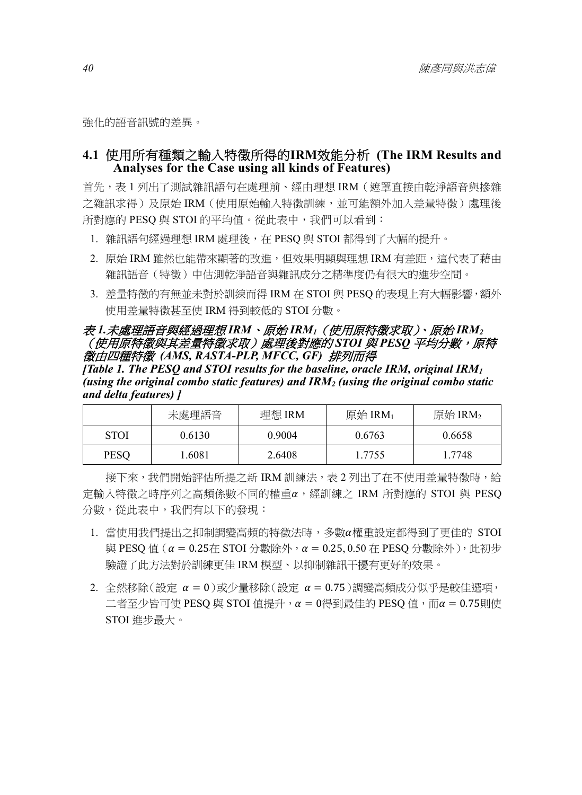強化的語音訊號的差異。

## **4.1** 使用所有種類之輸入特徵所得的**IRM**效能分析 **(The IRM Results and Analyses for the Case using all kinds of Features)**

首先,表 1 列出了測試雜訊語句在處理前、經由理想 IRM (遮罩直接由乾淨語音與摻雜 之雜訊求得)及原始 IRM (使用原始輸入特徵訓練,並可能額外加入差量特徵)處理後 所對應的 PESQ 與 STOI 的平均值。從此表中,我們可以看到:

- 1. 雜訊語句經過理想 IRM 處理後,在 PESQ 與 STOI 都得到了大幅的提升。
- 2. 原始 IRM 雖然也能帶來顯著的改進,但效果明顯與理想 IRM 有差距,這代表了藉由 雜訊語音(特徵)中估測乾淨語音與雜訊成分之精準度仍有很大的進步空間。
- 3. 差量特徵的有無並未對於訓練而得 IRM 在 STOI 與 PESQ 的表現上有大幅影響,額外 使用差量特徵甚至使 IRM 得到較低的 STOI 分數。

#### 表 *1.*未處理語音與經過理想 *IRM*、原始 *IRM1*(使用原特徵求取)、原始 *IRM2* (使用原特徵與其差量特徵求取)處理後對應的 *STOI* 與 *PESQ* 平均分數,原特 徵由四種特徵 *(AMS, RASTA-PLP, MFCC, GF)* 排列而得

*[Table 1. The PESQ and STOI results for the baseline, oracle IRM, original IRM1 (using the original combo static features) and IRM2 (using the original combo static and delta features) ]* 

|             | 未處理語音  | 理想 IRM | 原始 $\text{IRM}_1$ | 原始 $\text{IRM}_2$ |
|-------------|--------|--------|-------------------|-------------------|
| <b>STOI</b> | 0.6130 | 0.9004 | 0.6763            | 0.6658            |
| <b>PESO</b> | .6081  | 2.6408 | 1.7755            | 1.7748            |

接下來,我們開始評估所提之新 IRM 訓練法,表 2 列出了在不使用差量特徵時,給 定輸入特徵之時序列之高頻係數不同的權重α,經訓練之 IRM 所對應的 STOI 與 PESQ 分數,從此表中,我們有以下的發現:

- 1. 當使用我們提出之抑制調變高頻的特徵法時,多數權重設定都得到了更佳的 STOI 與 PESO 值 (  $α = 0.25$ 在 STOI 分數除外,  $α = 0.25, 0.50$  在 PESO 分數除外), 此初步 驗證了此方法對於訓練更佳 IRM 模型、以抑制雜訊干擾有更好的效果。
- 2. 全然移除(設定  $\alpha = 0$ )或少量移除(設定  $\alpha = 0.75$ )調變高頻成分似乎是較佳選項, 二者至少皆可使 PESQ 與 STOI 值提升,α = 0得到最佳的 PESQ 值,而α = 0.75則使 STOI 進步最大。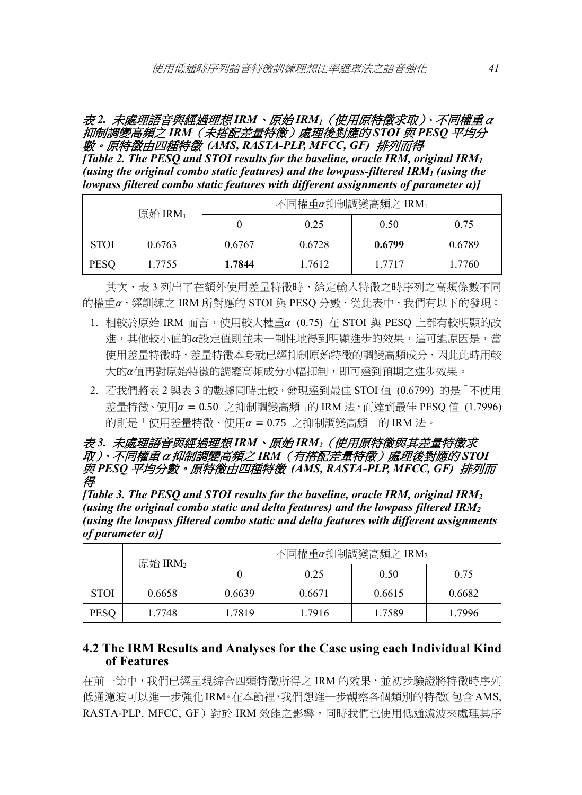#### 表 *2.* 未處理語音與經過理想 *IRM*、原始 *IRM1*(使用原特徵求取)、不同權重α 抑制調變高頻之 *IRM*(未搭配差量特徵)處理後對應的 *STOI* 與 *PESQ* 平均分 數。原特徵由四種特徵 *(AMS, RASTA-PLP, MFCC, GF)* 排列而得

*[Table 2. The PESQ and STOI results for the baseline, oracle IRM, original IRM1 (using the original combo static features) and the lowpass-filtered IRM1 (using the lowpass filtered combo static features with different assignments of parameter α)]* 

|             | 原始 $\text{IRM}_1$ | 不同權重α抑制調變高頻之 IRM1 |        |        |        |  |
|-------------|-------------------|-------------------|--------|--------|--------|--|
|             |                   |                   | 0.25   | 0.50   | 0.75   |  |
| <b>STOI</b> | 0.6763            | 0.6767            | 0.6728 | 0.6799 | 0.6789 |  |
| <b>PESO</b> | 1.7755            | 1.7844            | 1.7612 | 1.7717 | 1.7760 |  |

其次,表 3 列出了在額外使用差量特徵時,給定輸入特徵之時序列之高頻係數不同 的權重α,經訓練之 IRM 所對應的 STOI 與 PESO 分數,從此表中,我們有以下的發現:

- 1. 相較於原始 IRM 而言,使用較大權重 (0.75) 在 STOI 與 PESQ 上都有較明顯的改 進,其他較小值的 $\alpha$ 設定值則並未一制性地得到明顯進步的效果,這可能原因是,當 使用差量特徵時,差量特徵本身就已經抑制原始特徵的調變高頻成分,因此此時用較 大的值再對原始特徵的調變高頻成分小幅抑制,即可達到預期之進步效果。
- 2. 若我們將表 2 與表 3 的數據同時比較,發現達到最佳 STOI 值 (0.6799) 的是「不使用 差量特徵、使用  $\alpha$  = 0.50 之抑制調變高頻 , 的 IRM 法, 而達到最佳 PESQ 值 (1.7996) 的則是「使用差量特徵、使用α = 0.75 之抑制調變高頻」的 IRM 法。

#### 表 *3.* 未處理語音與經過理想 *IRM*、原始 *IRM2*(使用原特徵與其差量特徵求 取)、不同權重α抑制調變高頻之 *IRM*(有搭配差量特徵)處理後對應的 *STOI* 與 *PESQ* 平均分數。原特徵由四種特徵 *(AMS, RASTA-PLP, MFCC, GF)* 排列而 得

*[Table 3. The PESQ and STOI results for the baseline, oracle IRM, original IRM2 (using the original combo static and delta features) and the lowpass filtered IRM2 (using the lowpass filtered combo static and delta features with different assignments of parameter α)]* 

|             | 原始 IRM $_2$ | 不同權重α抑制調變高頻之 IRM2 |        |        |        |
|-------------|-------------|-------------------|--------|--------|--------|
|             |             |                   | 0.25   | 0.50   | 0.75   |
| <b>STOI</b> | 0.6658      | 0.6639            | 0.6671 | 0.6615 | 0.6682 |
| <b>PESQ</b> | 1.7748      | 1.7819            | 1.7916 | 1.7589 | 1.7996 |

## **4.2 The IRM Results and Analyses for the Case using each Individual Kind of Features**

在前一節中,我們已經呈現綜合四類特徵所得之 IRM 的效果,並初步驗證將特徵時序列 低通濾波可以進一步強化 IRM。在本節裡,我們想進一步觀察各個類別的特徵(包含AMS, RASTA-PLP, MFCC, GF)對於 IRM 效能之影響,同時我們也使用低通濾波來處理其序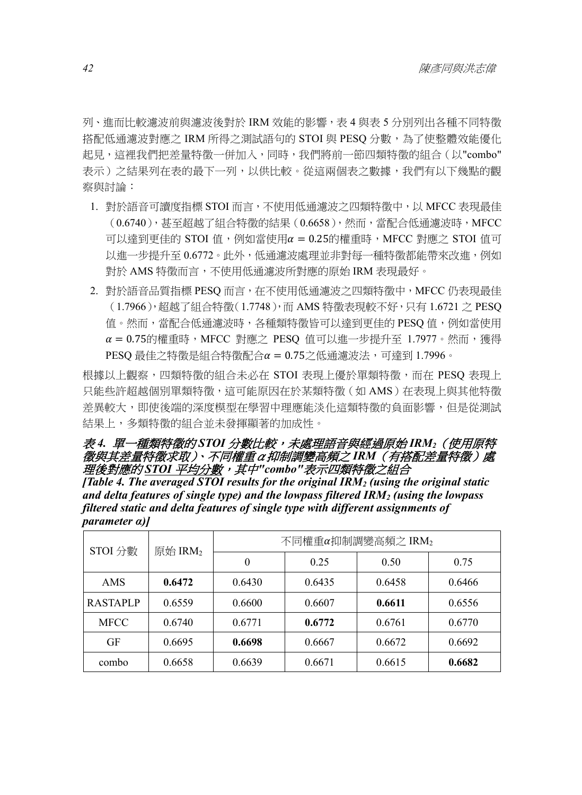列、進而比較濾波前與濾波後對於 IRM 效能的影響,表 4 與表 5 分別列出各種不同特徵 搭配低通濾波對應之 IRM 所得之測試語句的 STOI 與 PESQ 分數,為了使整體效能優化 起見,這裡我們把差量特徵一併加入,同時,我們將前一節四類特徵的組合(以"combo" 表示)之結果列在表的最下一列,以供比較。從這兩個表之數據,我們有以下幾點的觀 察與討論:

- 1. 對於語音可讀度指標 STOI 而言,不使用低通濾波之四類特徵中, 以 MFCC 表現最佳 (0.6740),甚至超越了組合特徵的結果(0.6658),然而,當配合低通濾波時,MFCC 可以達到更佳的 STOI 值,例如當使用α = 0.25的權重時,MFCC 對應之 STOI 值可 以進一步提升至 0.6772。此外,低通濾波處理並非對每一種特徵都能帶來改進,例如 對於 AMS 特徵而言,不使用低通濾波所對應的原始 IRM 表現最好。
- 2. 對於語音品質指標 PESQ 而言,在不使用低通濾波之四類特徵中,MFCC 仍表現最佳 (1.7966),超越了組合特徵(1.7748),而 AMS 特徵表現較不好,只有 1.6721 之 PESQ 值。然而,當配合低通濾波時,各種類特徵皆可以達到更佳的 PESQ 值,例如當使用  $\alpha = 0.75$ 的權重時,MFCC 對應之 PESQ 值可以進一步提升至 1.7977。然而,獲得 PESQ 最佳之特徵是組合特徵配合α = 0.75之低通濾波法,可達到 1.7996。

根據以上觀察,四類特徵的組合未必在 STOI 表現上優於單類特徵,而在 PESQ 表現上 只能些許超越個別單類特徵,這可能原因在於某類特徵(如 AMS)在表現上與其他特徵 差異較大,即使後端的深度模型在學習中理應能淡化這類特徵的負面影響,但是從測試 結果上,多類特徵的組合並未發揮顯著的加成性。

#### 表 *4.* 單一種類特徵的 *STOI* 分數比較,未處理語音與經過原始 *IRM2*(使用原特 徵與其差量特徵求取)、不同權重α抑制調變高頻之 *IRM*(有搭配差量特徵)處 理後對應的 *STOI* 平均分數,其中*"combo"*表示四類特徵之組合

*[Table 4. The averaged STOI results for the original IRM2 (using the original static and delta features of single type) and the lowpass filtered IRM2 (using the lowpass filtered static and delta features of single type with different assignments of parameter α)]* 

| STOI 分數         | 原始 $\text{IRM}_2$ | 不同權重α抑制調變高頻之 IRM2 |        |        |        |  |
|-----------------|-------------------|-------------------|--------|--------|--------|--|
|                 |                   | 0                 | 0.25   | 0.50   | 0.75   |  |
| AMS             | 0.6472            | 0.6430            | 0.6435 | 0.6458 | 0.6466 |  |
| <b>RASTAPLP</b> | 0.6559            | 0.6600            | 0.6607 | 0.6611 | 0.6556 |  |
| <b>MFCC</b>     | 0.6740            | 0.6771            | 0.6772 | 0.6761 | 0.6770 |  |
| GF              | 0.6695            | 0.6698            | 0.6667 | 0.6672 | 0.6692 |  |
| combo           | 0.6658            | 0.6639            | 0.6671 | 0.6615 | 0.6682 |  |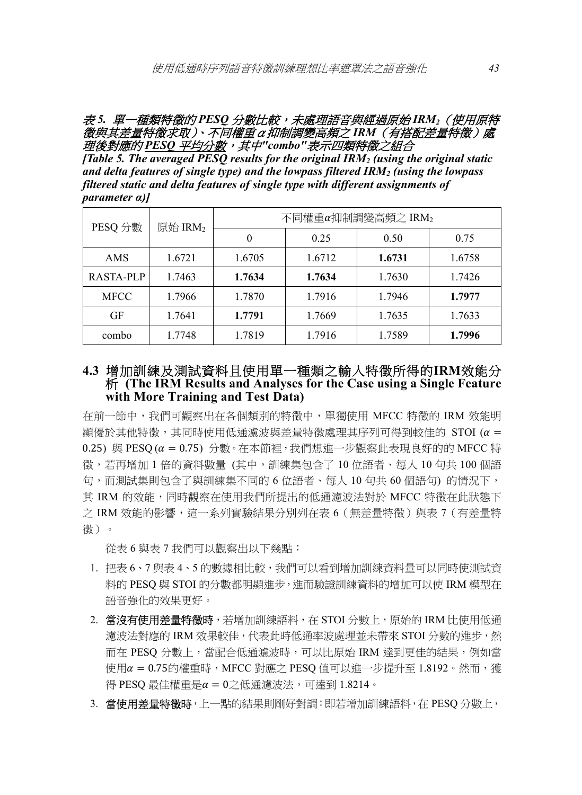#### 表 *5.* 單一種類特徵的 *PESQ* 分數比較,未處理語音與經過原始 *IRM2*(使用原特 徵與其差量特徵求取)、不同權重α抑制調變高頻之 *IRM*(有搭配差量特徵)處 理後對應的 *PESQ* 平均分數,其中*"combo"*表示四類特徵之組合

*[Table 5. The averaged PESQ results for the original IRM2 (using the original static and delta features of single type) and the lowpass filtered IRM2 (using the lowpass filtered static and delta features of single type with different assignments of parameter α)]* 

| PESQ 分數     | 原始 IRM2 | 不同權重α抑制調變高頻之 IRM2 |        |        |        |  |
|-------------|---------|-------------------|--------|--------|--------|--|
|             |         |                   | 0.25   | 0.50   | 0.75   |  |
| AMS         | 1.6721  | 1.6705            | 1.6712 | 1.6731 | 1.6758 |  |
| RASTA-PLP   | 1.7463  | 1.7634            | 1.7634 | 1.7630 | 1.7426 |  |
| <b>MFCC</b> | 1.7966  | 1.7870            | 1.7916 | 1.7946 | 1.7977 |  |
| GF          | 1.7641  | 1.7791            | 1.7669 | 1.7635 | 1.7633 |  |
| combo       | 1.7748  | 1.7819            | 1.7916 | 1.7589 | 1.7996 |  |

## **4.3** 增加訓練及測試資料且使用單一種類之輸入特徵所得的**IRM**效能分 析 **(The IRM Results and Analyses for the Case using a Single Feature with More Training and Test Data)**

在前一節中,我們可觀察出在各個類別的特徵中,單獨使用 MFCC 特徵的 IRM 效能明 顯優於其他特徵,其同時使用低通濾波與差量特徵處理其序列可得到較佳的 STOI ( $\alpha$  = 0.25) 與 PESQ( $\alpha$  = 0.75) 分數。在本節裡,我們想進一步觀察此表現良好的的 MFCC 特 徵,若再增加 1 倍的資料數量 (其中,訓練集包含了 10 位語者、每人 10 句共 100 個語 句,而測試集則包含了與訓練集不同的 6 位語者、每人 10 句共 60 個語句) 的情況下, 其 IRM 的效能,同時觀察在使用我們所提出的低通濾波法對於 MFCC 特徵在此狀態下 之 IRM 效能的影響,這一系列實驗結果分別列在表 6 ( 無差量特徵 ) 與表 7 ( 有差量特 徵)。

從表 6 與表 7 我們可以觀察出以下幾點:

- 1. 把表 6、7 與表 4、5 的數據相比較,我們可以看到增加訓練資料量可以同時使測試資 料的 PESQ 與 STOI 的分數都明顯進步,進而驗證訓練資料的增加可以使 IRM 模型在 語音強化的效果更好。
- 2. 當沒有使用差量特徵時,若增加訓練語料,在 STOI 分數上,原始的 IRM 比使用低通 濾波法對應的 IRM 效果較佳,代表此時低通率波處理並未帶來 STOI 分數的進步,然 而在 PESQ 分數上,當配合低通濾波時,可以比原始 IRM 達到更佳的結果,例如當 使用 $\alpha$  = 0.75的權重時, MFCC 對應之 PESQ 值可以進一步提升至 1.8192。然而,獲 得 PESQ 最佳權重是α = 0之低通濾波法,可達到 1.8214。
- 3. 當使用差量特徵時,上一點的結果則剛好對調:即若增加訓練語料,在 PESO 分數上,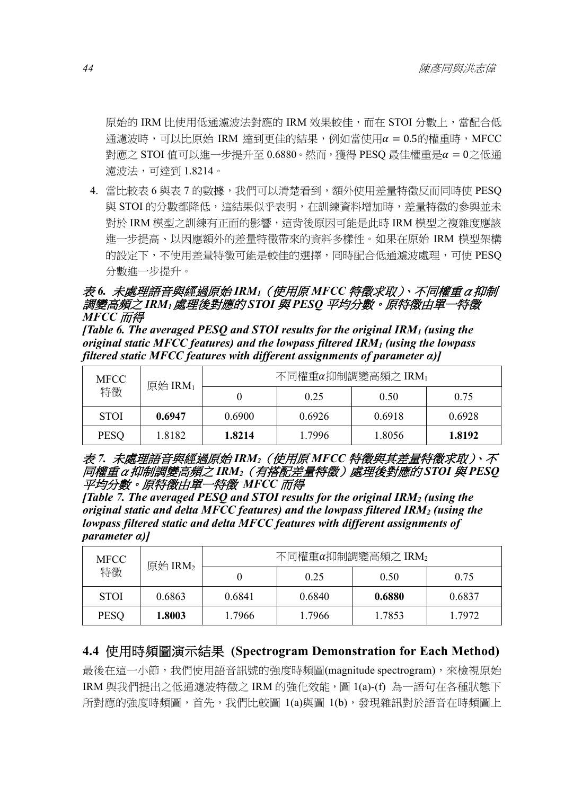原始的 IRM 比使用低通濾波法對應的 IRM 效果較佳,而在 STOI 分數上,當配合低 通濾波時,可以比原始 IRM 達到更佳的結果,例如當使用α = 0.5的權重時,MFCC 對應之 STOI 值可以進一步提升至  $0.6880 \cdot$ 然而,獲得 PESQ 最佳權重是α =  $0$ 之低通 濾波法,可達到 1.8214。

4. 當比較表 6 與表 7 的數據,我們可以清楚看到,額外使用差量特徵反而同時使 PESQ 與 STOI 的分數都降低,這結果似乎表明,在訓練資料增加時,差量特徵的參與並未 對於 IRM 模型之訓練有正面的影響,這背後原因可能是此時 IRM 模型之複雜度應該 進一步提高、以因應額外的差量特徵帶來的資料多樣性。如果在原始 IRM 模型架構 的設定下,不使用差量特徵可能是較佳的選擇,同時配合低通濾波處理,可使 PESQ 分數進一步提升。

## 表 *6.* 未處理語音與經過原始 *IRM1*(使用原 *MFCC* 特徵求取)、不同權重α抑制 調變高頻之 *IRM1*處理後對應的 *STOI* 與 *PESQ* 平均分數。原特徵由單一特徵 *MFCC* 而得

*[Table 6. The averaged PESQ and STOI results for the original IRM1 (using the original static MFCC features) and the lowpass filtered IRM1 (using the lowpass filtered static MFCC features with different assignments of parameter α)]* 

| <b>MFCC</b><br>特徵 | 原始 $\text{IRM}_1$ | 不同權重α抑制調變高頻之 IRM1 |        |        |        |
|-------------------|-------------------|-------------------|--------|--------|--------|
|                   |                   |                   | 0.25   | 0.50   | 0.75   |
| <b>STOI</b>       | 0.6947            | 0.6900            | 0.6926 | 0.6918 | 0.6928 |
| <b>PESO</b>       | 1.8182            | 1.8214            | 1.7996 | 1.8056 | 1.8192 |

#### 表 *7.* 未處理語音與經過原始 *IRM2*(使用原 *MFCC* 特徵與其差量特徵求取)、不 同權重α抑制調變高頻之 *IRM2*(有搭配差量特徵)處理後對應的 *STOI* 與 *PESQ* 平均分數。原特徵由單一特徵 *MFCC* 而得

*[Table 7. The averaged PESQ and STOI results for the original IRM2 (using the original static and delta MFCC features) and the lowpass filtered IRM2 (using the lowpass filtered static and delta MFCC features with different assignments of parameter α)]* 

| <b>MFCC</b><br>特徵 | 原始 IRM2 | 不同權重α抑制調變高頻之 IRM2 |        |        |        |
|-------------------|---------|-------------------|--------|--------|--------|
|                   |         |                   | 0.25   | 0.50   | 0.75   |
| <b>STOI</b>       | 0.6863  | 0.6841            | 0.6840 | 0.6880 | 0.6837 |
| <b>PESO</b>       | 1.8003  | 1.7966            | 1.7966 | 1.7853 | 1.7972 |

## **4.4** 使用時頻圖演示結果 **(Spectrogram Demonstration for Each Method)**

最後在這一小節,我們使用語音訊號的強度時頻圖(magnitude spectrogram),來檢視原始 IRM 與我們提出之低通濾波特徵之 IRM 的強化效能,圖 1(a)-(f) 為一語句在各種狀態下 所對應的強度時頻圖,首先,我們比較圖 1(a)與圖 1(b),發現雜訊對於語音在時頻圖上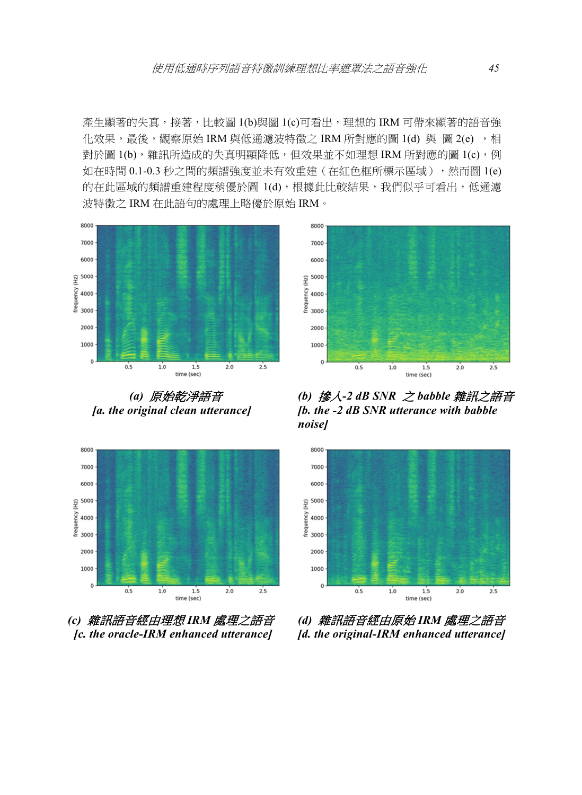產生顯著的失真,接著,比較圖 1(b)與圖 1(c)可看出,理想的 IRM 可帶來顯著的語音強 化效果,最後,觀察原始 IRM 與低通濾波特徵之 IRM 所對應的圖 1(d) 與 圖 2(e) ,相 對於圖 1(b),雜訊所造成的失真明顯降低,但效果並不如理想 IRM 所對應的圖 1(c),例 如在時間 0.1-0.3 秒之間的頻譜強度並未有效重建(在紅色框所標示區域),然而圖 1(e) 的在此區域的頻譜重建程度稍優於圖 1(d),根據此比較結果,我們似乎可看出,低通濾 波特徵之 IRM 在此語句的處理上略優於原始 IRM。



 *(a)* 原始乾淨語音  *[a. the original clean utterance]* 



*(c)* 雜訊語音經由理想 *IRM* 處理之語音  *[c. the oracle-IRM enhanced utterance]* 



*(b)* 摻入*-2 dB SNR* 之 *babble* 雜訊之語音 *[b. the -2 dB SNR utterance with babble noise]* 



*(d)* 雜訊語音經由原始 *IRM* 處理之語音 *[d. the original-IRM enhanced utterance]*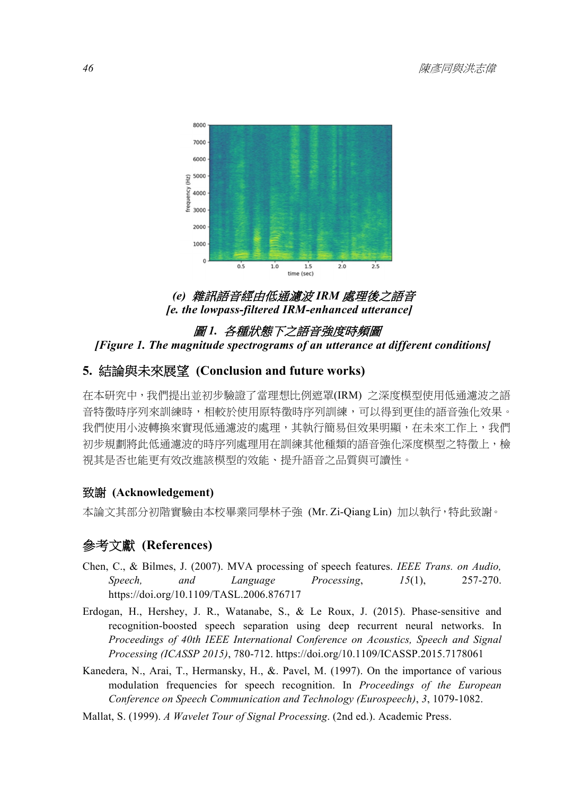

# *(e)* 雜訊語音經由低通濾波 *IRM* 處理後之語音  *[e. the lowpass-filtered IRM-enhanced utterance]*

## 圖 *1.* 各種狀態下之語音強度時頻圖  *[Figure 1. The magnitude spectrograms of an utterance at different conditions]*

# **5.** 結論與未來展望 **(Conclusion and future works)**

在本研究中,我們提出並初步驗證了當理想比例遮罩(IRM) 之深度模型使用低通濾波之語 音特徵時序列來訓練時,相較於使用原特徵時序列訓練,可以得到更佳的語音強化效果。 我們使用小波轉換來實現低通濾波的處理,其執行簡易但效果明顯,在未來工作上,我們 初步規劃將此低通濾波的時序列處理用在訓練其他種類的語音強化深度模型之特徵上,檢 視其是否也能更有效改進該模型的效能、提升語音之品質與可讀性。

## 致謝 **(Acknowledgement)**

本論文其部分初階實驗由本校畢業同學林子強 (Mr. Zi-Qiang Lin) 加以執行,特此致謝。

# 參考文獻 **(References)**

- Chen, C., & Bilmes, J. (2007). MVA processing of speech features. *IEEE Trans. on Audio, Speech, and Language Processing*, *15*(1), 257-270. https://doi.org/10.1109/TASL.2006.876717
- Erdogan, H., Hershey, J. R., Watanabe, S., & Le Roux, J. (2015). Phase-sensitive and recognition-boosted speech separation using deep recurrent neural networks. In *Proceedings of 40th IEEE International Conference on Acoustics, Speech and Signal Processing (ICASSP 2015)*, 780-712. https://doi.org/10.1109/ICASSP.2015.7178061
- Kanedera, N., Arai, T., Hermansky, H., &. Pavel, M. (1997). On the importance of various modulation frequencies for speech recognition. In *Proceedings of the European Conference on Speech Communication and Technology (Eurospeech)*, *3*, 1079-1082.
- Mallat, S. (1999). *A Wavelet Tour of Signal Processing*. (2nd ed.). Academic Press.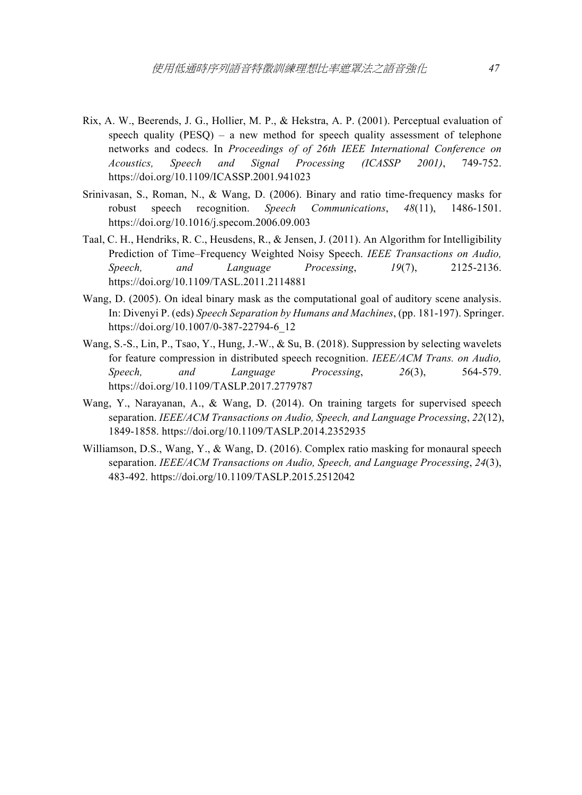- Rix, A. W., Beerends, J. G., Hollier, M. P., & Hekstra, A. P. (2001). Perceptual evaluation of speech quality (PESO) – a new method for speech quality assessment of telephone networks and codecs. In *Proceedings of of 26th IEEE International Conference on Acoustics, Speech and Signal Processing (ICASSP 2001)*, 749-752. https://doi.org/10.1109/ICASSP.2001.941023
- Srinivasan, S., Roman, N., & Wang, D. (2006). Binary and ratio time-frequency masks for robust speech recognition. *Speech Communications*, *48*(11), 1486-1501. https://doi.org/10.1016/j.specom.2006.09.003
- Taal, C. H., Hendriks, R. C., Heusdens, R., & Jensen, J. (2011). An Algorithm for Intelligibility Prediction of Time–Frequency Weighted Noisy Speech. *IEEE Transactions on Audio, Speech, and Language Processing*, *19*(7), 2125-2136. https://doi.org/10.1109/TASL.2011.2114881
- Wang, D. (2005). On ideal binary mask as the computational goal of auditory scene analysis. In: Divenyi P. (eds) *Speech Separation by Humans and Machines*, (pp. 181-197). Springer. https://doi.org/10.1007/0-387-22794-6\_12
- Wang, S.-S., Lin, P., Tsao, Y., Hung, J.-W., & Su, B. (2018). Suppression by selecting wavelets for feature compression in distributed speech recognition. *IEEE/ACM Trans. on Audio, Speech, and Language Processing*, *26*(3), 564-579. https://doi.org/10.1109/TASLP.2017.2779787
- Wang, Y., Narayanan, A., & Wang, D. (2014). On training targets for supervised speech separation. *IEEE/ACM Transactions on Audio, Speech, and Language Processing*, *22*(12), 1849-1858. https://doi.org/10.1109/TASLP.2014.2352935
- Williamson, D.S., Wang, Y., & Wang, D. (2016). Complex ratio masking for monaural speech separation. *IEEE/ACM Transactions on Audio, Speech, and Language Processing*, *24*(3), 483-492. https://doi.org/10.1109/TASLP.2015.2512042